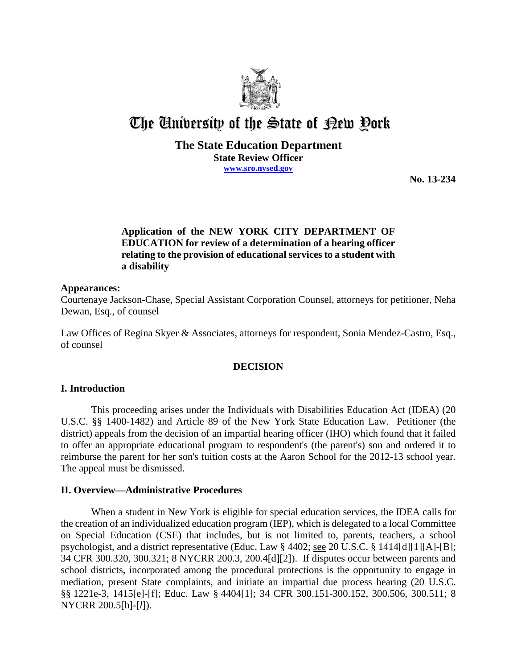

# The University of the State of Pew Pork

## **The State Education Department State Review Officer www.sro.nysed.gov**

**No. 13-234** 

# **Application of the NEW YORK CITY DEPARTMENT OF EDUCATION for review of a determination of a hearing officer relating to the provision of educational services to a student with a disability**

#### **Appearances:**

Courtenaye Jackson-Chase, Special Assistant Corporation Counsel, attorneys for petitioner, Neha Dewan, Esq., of counsel

Law Offices of Regina Skyer & Associates, attorneys for respondent, Sonia Mendez-Castro, Esq., of counsel

## **DECISION**

## **I. Introduction**

This proceeding arises under the Individuals with Disabilities Education Act (IDEA) (20 U.S.C. §§ 1400-1482) and Article 89 of the New York State Education Law. Petitioner (the district) appeals from the decision of an impartial hearing officer (IHO) which found that it failed to offer an appropriate educational program to respondent's (the parent's) son and ordered it to reimburse the parent for her son's tuition costs at the Aaron School for the 2012-13 school year. The appeal must be dismissed.

## **II. Overview—Administrative Procedures**

When a student in New York is eligible for special education services, the IDEA calls for the creation of an individualized education program (IEP), which is delegated to a local Committee on Special Education (CSE) that includes, but is not limited to, parents, teachers, a school psychologist, and a district representative (Educ. Law § 4402; see 20 U.S.C. § 1414[d][1][A]-[B]; 34 CFR 300.320, 300.321; 8 NYCRR 200.3, 200.4[d][2]). If disputes occur between parents and school districts, incorporated among the procedural protections is the opportunity to engage in mediation, present State complaints, and initiate an impartial due process hearing (20 U.S.C. §§ 1221e-3, 1415[e]-[f]; Educ. Law § 4404[1]; 34 CFR 300.151-300.152, 300.506, 300.511; 8 NYCRR 200.5[h]-[*l*]).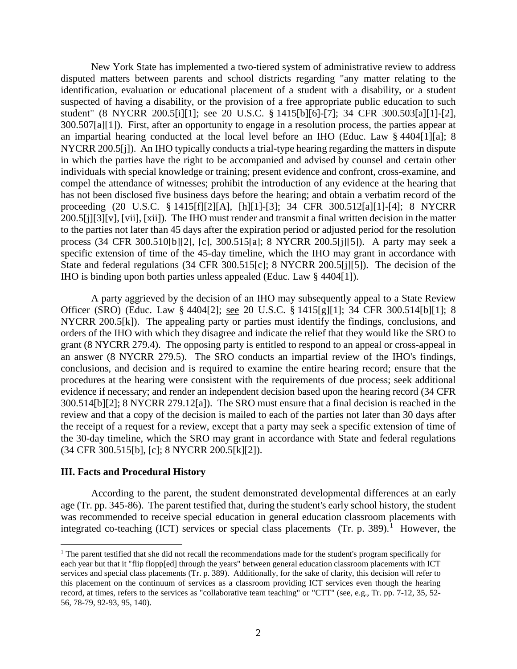New York State has implemented a two-tiered system of administrative review to address disputed matters between parents and school districts regarding "any matter relating to the identification, evaluation or educational placement of a student with a disability, or a student suspected of having a disability, or the provision of a free appropriate public education to such student" (8 NYCRR 200.5[i][1]; see 20 U.S.C. § 1415[b][6]-[7]; 34 CFR 300.503[a][1]-[2], 300.507[a][1]). First, after an opportunity to engage in a resolution process, the parties appear at an impartial hearing conducted at the local level before an IHO (Educ. Law § 4404[1][a]; 8 NYCRR 200.5[j]). An IHO typically conducts a trial-type hearing regarding the matters in dispute in which the parties have the right to be accompanied and advised by counsel and certain other individuals with special knowledge or training; present evidence and confront, cross-examine, and compel the attendance of witnesses; prohibit the introduction of any evidence at the hearing that has not been disclosed five business days before the hearing; and obtain a verbatim record of the proceeding (20 U.S.C. § 1415[f][2][A], [h][1]-[3]; 34 CFR 300.512[a][1]-[4]; 8 NYCRR 200.5[j][3][v], [vii], [xii]). The IHO must render and transmit a final written decision in the matter to the parties not later than 45 days after the expiration period or adjusted period for the resolution process (34 CFR 300.510[b][2], [c], 300.515[a]; 8 NYCRR 200.5[j][5]). A party may seek a specific extension of time of the 45-day timeline, which the IHO may grant in accordance with State and federal regulations (34 CFR 300.515[c]; 8 NYCRR 200.5[j][5]). The decision of the IHO is binding upon both parties unless appealed (Educ. Law § 4404[1]).

A party aggrieved by the decision of an IHO may subsequently appeal to a State Review Officer (SRO) (Educ. Law § 4404[2]; see 20 U.S.C. § 1415[g][1]; 34 CFR 300.514[b][1]; 8 NYCRR 200.5[k]). The appealing party or parties must identify the findings, conclusions, and orders of the IHO with which they disagree and indicate the relief that they would like the SRO to grant (8 NYCRR 279.4). The opposing party is entitled to respond to an appeal or cross-appeal in an answer (8 NYCRR 279.5). The SRO conducts an impartial review of the IHO's findings, conclusions, and decision and is required to examine the entire hearing record; ensure that the procedures at the hearing were consistent with the requirements of due process; seek additional evidence if necessary; and render an independent decision based upon the hearing record (34 CFR 300.514[b][2]; 8 NYCRR 279.12[a]). The SRO must ensure that a final decision is reached in the review and that a copy of the decision is mailed to each of the parties not later than 30 days after the receipt of a request for a review, except that a party may seek a specific extension of time of the 30-day timeline, which the SRO may grant in accordance with State and federal regulations (34 CFR 300.515[b], [c]; 8 NYCRR 200.5[k][2]).

#### **III. Facts and Procedural History**

 $\overline{a}$ 

According to the parent, the student demonstrated developmental differences at an early age (Tr. pp. 345-86). The parent testified that, during the student's early school history, the student was recommended to receive special education in general education classroom placements with integrated co-teaching (ICT) services or special class placements (Tr. p. 389).<sup>1</sup> However, the

 $<sup>1</sup>$  The parent testified that she did not recall the recommendations made for the student's program specifically for</sup> each year but that it "flip flopp[ed] through the years" between general education classroom placements with ICT services and special class placements (Tr. p. 389). Additionally, for the sake of clarity, this decision will refer to this placement on the continuum of services as a classroom providing ICT services even though the hearing record, at times, refers to the services as "collaborative team teaching" or "CTT" (see, e.g., Tr. pp. 7-12, 35, 52- 56, 78-79, 92-93, 95, 140).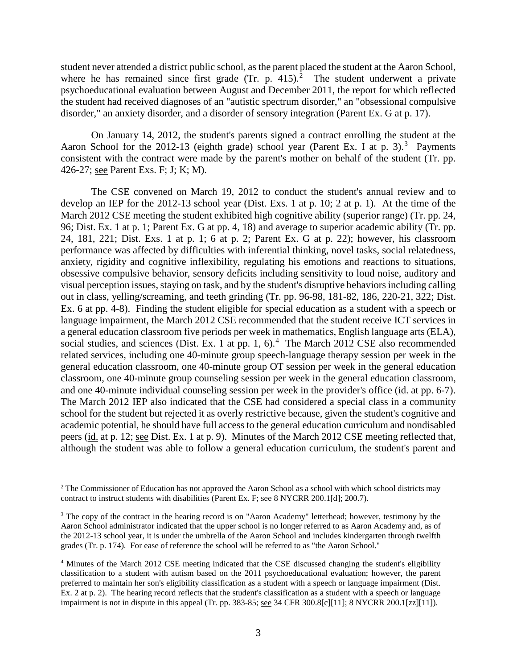student never attended a district public school, as the parent placed the student at the Aaron School, where he has remained since first grade  $(Tr, p. 415)$ .<sup>2</sup> The student underwent a private psychoeducational evaluation between August and December 2011, the report for which reflected the student had received diagnoses of an "autistic spectrum disorder," an "obsessional compulsive disorder," an anxiety disorder, and a disorder of sensory integration (Parent Ex. G at p. 17).

 On January 14, 2012, the student's parents signed a contract enrolling the student at the Aaron School for the 2012-13 (eighth grade) school year (Parent Ex. I at p. 3).<sup>3</sup> Payments consistent with the contract were made by the parent's mother on behalf of the student (Tr. pp. 426-27; see Parent Exs. F; J; K; M).

The CSE convened on March 19, 2012 to conduct the student's annual review and to develop an IEP for the 2012-13 school year (Dist. Exs. 1 at p. 10; 2 at p. 1). At the time of the March 2012 CSE meeting the student exhibited high cognitive ability (superior range) (Tr. pp. 24, 96; Dist. Ex. 1 at p. 1; Parent Ex. G at pp. 4, 18) and average to superior academic ability (Tr. pp. 24, 181, 221; Dist. Exs. 1 at p. 1; 6 at p. 2; Parent Ex. G at p. 22); however, his classroom performance was affected by difficulties with inferential thinking, novel tasks, social relatedness, anxiety, rigidity and cognitive inflexibility, regulating his emotions and reactions to situations, obsessive compulsive behavior, sensory deficits including sensitivity to loud noise, auditory and visual perception issues, staying on task, and by the student's disruptive behaviors including calling out in class, yelling/screaming, and teeth grinding (Tr. pp. 96-98, 181-82, 186, 220-21, 322; Dist. Ex. 6 at pp. 4-8). Finding the student eligible for special education as a student with a speech or language impairment, the March 2012 CSE recommended that the student receive ICT services in a general education classroom five periods per week in mathematics, English language arts (ELA), social studies, and sciences (Dist. Ex. 1 at pp. 1, 6).<sup>4</sup> The March 2012 CSE also recommended related services, including one 40-minute group speech-language therapy session per week in the general education classroom, one 40-minute group OT session per week in the general education classroom, one 40-minute group counseling session per week in the general education classroom, and one 40-minute individual counseling session per week in the provider's office (id. at pp. 6-7). The March 2012 IEP also indicated that the CSE had considered a special class in a community school for the student but rejected it as overly restrictive because, given the student's cognitive and academic potential, he should have full access to the general education curriculum and nondisabled peers (id. at p. 12; see Dist. Ex. 1 at p. 9). Minutes of the March 2012 CSE meeting reflected that, although the student was able to follow a general education curriculum, the student's parent and

 $\overline{a}$ 

<sup>&</sup>lt;sup>2</sup> The Commissioner of Education has not approved the Aaron School as a school with which school districts may contract to instruct students with disabilities (Parent Ex. F; see 8 NYCRR 200.1[d]; 200.7).

<sup>&</sup>lt;sup>3</sup> The copy of the contract in the hearing record is on "Aaron Academy" letterhead; however, testimony by the Aaron School administrator indicated that the upper school is no longer referred to as Aaron Academy and, as of the 2012-13 school year, it is under the umbrella of the Aaron School and includes kindergarten through twelfth grades (Tr. p. 174). For ease of reference the school will be referred to as "the Aaron School."

<sup>4</sup> Minutes of the March 2012 CSE meeting indicated that the CSE discussed changing the student's eligibility classification to a student with autism based on the 2011 psychoeducational evaluation; however, the parent preferred to maintain her son's eligibility classification as a student with a speech or language impairment (Dist. Ex. 2 at p. 2). The hearing record reflects that the student's classification as a student with a speech or language impairment is not in dispute in this appeal (Tr. pp. 383-85; see 34 CFR 300.8[c][11]; 8 NYCRR 200.1[zz][11]).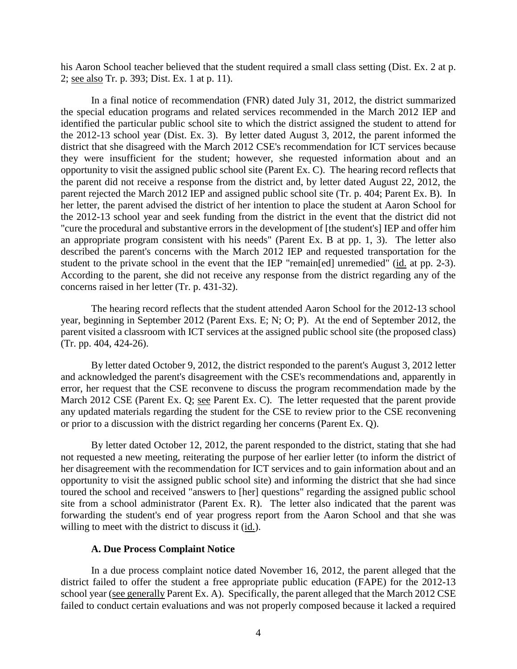his Aaron School teacher believed that the student required a small class setting (Dist. Ex. 2 at p. 2; see also Tr. p. 393; Dist. Ex. 1 at p. 11).

In a final notice of recommendation (FNR) dated July 31, 2012, the district summarized the special education programs and related services recommended in the March 2012 IEP and identified the particular public school site to which the district assigned the student to attend for the 2012-13 school year (Dist. Ex. 3). By letter dated August 3, 2012, the parent informed the district that she disagreed with the March 2012 CSE's recommendation for ICT services because they were insufficient for the student; however, she requested information about and an opportunity to visit the assigned public school site (Parent Ex. C). The hearing record reflects that the parent did not receive a response from the district and, by letter dated August 22, 2012, the parent rejected the March 2012 IEP and assigned public school site (Tr. p. 404; Parent Ex. B). In her letter, the parent advised the district of her intention to place the student at Aaron School for the 2012-13 school year and seek funding from the district in the event that the district did not "cure the procedural and substantive errors in the development of [the student's] IEP and offer him an appropriate program consistent with his needs" (Parent Ex. B at pp. 1, 3). The letter also described the parent's concerns with the March 2012 IEP and requested transportation for the student to the private school in the event that the IEP "remain $[ed]$  unremedied" (id. at pp. 2-3). According to the parent, she did not receive any response from the district regarding any of the concerns raised in her letter (Tr. p. 431-32).

The hearing record reflects that the student attended Aaron School for the 2012-13 school year, beginning in September 2012 (Parent Exs. E; N; O; P). At the end of September 2012, the parent visited a classroom with ICT services at the assigned public school site (the proposed class) (Tr. pp. 404, 424-26).

By letter dated October 9, 2012, the district responded to the parent's August 3, 2012 letter and acknowledged the parent's disagreement with the CSE's recommendations and, apparently in error, her request that the CSE reconvene to discuss the program recommendation made by the March 2012 CSE (Parent Ex. Q; see Parent Ex. C). The letter requested that the parent provide any updated materials regarding the student for the CSE to review prior to the CSE reconvening or prior to a discussion with the district regarding her concerns (Parent Ex. Q).

 By letter dated October 12, 2012, the parent responded to the district, stating that she had not requested a new meeting, reiterating the purpose of her earlier letter (to inform the district of her disagreement with the recommendation for ICT services and to gain information about and an opportunity to visit the assigned public school site) and informing the district that she had since toured the school and received "answers to [her] questions" regarding the assigned public school site from a school administrator (Parent Ex. R). The letter also indicated that the parent was forwarding the student's end of year progress report from the Aaron School and that she was willing to meet with the district to discuss it (id.).

## **A. Due Process Complaint Notice**

In a due process complaint notice dated November 16, 2012, the parent alleged that the district failed to offer the student a free appropriate public education (FAPE) for the 2012-13 school year (see generally Parent Ex. A). Specifically, the parent alleged that the March 2012 CSE failed to conduct certain evaluations and was not properly composed because it lacked a required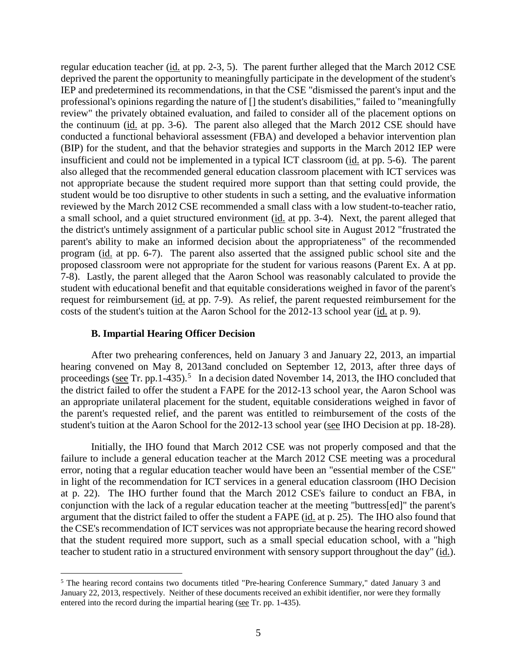regular education teacher (id. at pp. 2-3, 5). The parent further alleged that the March 2012 CSE deprived the parent the opportunity to meaningfully participate in the development of the student's IEP and predetermined its recommendations, in that the CSE "dismissed the parent's input and the professional's opinions regarding the nature of [] the student's disabilities," failed to "meaningfully review" the privately obtained evaluation, and failed to consider all of the placement options on the continuum  $(id.$  at pp. 3-6). The parent also alleged that the March 2012 CSE should have conducted a functional behavioral assessment (FBA) and developed a behavior intervention plan (BIP) for the student, and that the behavior strategies and supports in the March 2012 IEP were insufficient and could not be implemented in a typical ICT classroom (id. at pp. 5-6). The parent also alleged that the recommended general education classroom placement with ICT services was not appropriate because the student required more support than that setting could provide, the student would be too disruptive to other students in such a setting, and the evaluative information reviewed by the March 2012 CSE recommended a small class with a low student-to-teacher ratio, a small school, and a quiet structured environment (id. at pp. 3-4). Next, the parent alleged that the district's untimely assignment of a particular public school site in August 2012 "frustrated the parent's ability to make an informed decision about the appropriateness" of the recommended program (id. at pp. 6-7). The parent also asserted that the assigned public school site and the proposed classroom were not appropriate for the student for various reasons (Parent Ex. A at pp. 7-8). Lastly, the parent alleged that the Aaron School was reasonably calculated to provide the student with educational benefit and that equitable considerations weighed in favor of the parent's request for reimbursement (id. at pp. 7-9). As relief, the parent requested reimbursement for the costs of the student's tuition at the Aaron School for the 2012-13 school year (id. at p. 9).

#### **B. Impartial Hearing Officer Decision**

After two prehearing conferences, held on January 3 and January 22, 2013, an impartial hearing convened on May 8, 2013and concluded on September 12, 2013, after three days of proceedings (see Tr. pp.1-435).<sup>5</sup> In a decision dated November 14, 2013, the IHO concluded that the district failed to offer the student a FAPE for the 2012-13 school year, the Aaron School was an appropriate unilateral placement for the student, equitable considerations weighed in favor of the parent's requested relief, and the parent was entitled to reimbursement of the costs of the student's tuition at the Aaron School for the 2012-13 school year (see IHO Decision at pp. 18-28).

Initially, the IHO found that March 2012 CSE was not properly composed and that the failure to include a general education teacher at the March 2012 CSE meeting was a procedural error, noting that a regular education teacher would have been an "essential member of the CSE" in light of the recommendation for ICT services in a general education classroom (IHO Decision at p. 22). The IHO further found that the March 2012 CSE's failure to conduct an FBA, in conjunction with the lack of a regular education teacher at the meeting "buttress[ed]" the parent's argument that the district failed to offer the student a FAPE (id. at p. 25). The IHO also found that the CSE's recommendation of ICT services was not appropriate because the hearing record showed that the student required more support, such as a small special education school, with a "high teacher to student ratio in a structured environment with sensory support throughout the day" (id.).

 <sup>5</sup> The hearing record contains two documents titled "Pre-hearing Conference Summary," dated January 3 and January 22, 2013, respectively. Neither of these documents received an exhibit identifier, nor were they formally entered into the record during the impartial hearing (see Tr. pp. 1-435).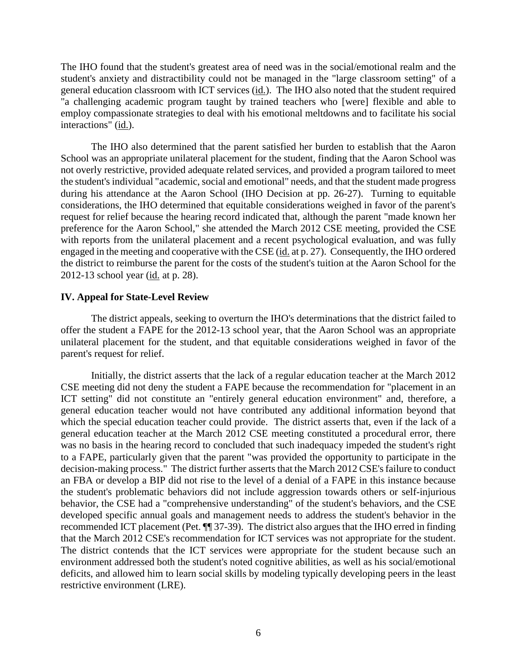The IHO found that the student's greatest area of need was in the social/emotional realm and the student's anxiety and distractibility could not be managed in the "large classroom setting" of a general education classroom with ICT services (id.). The IHO also noted that the student required "a challenging academic program taught by trained teachers who [were] flexible and able to employ compassionate strategies to deal with his emotional meltdowns and to facilitate his social interactions" (id.).

The IHO also determined that the parent satisfied her burden to establish that the Aaron School was an appropriate unilateral placement for the student, finding that the Aaron School was not overly restrictive, provided adequate related services, and provided a program tailored to meet the student's individual "academic, social and emotional" needs, and that the student made progress during his attendance at the Aaron School (IHO Decision at pp. 26-27). Turning to equitable considerations, the IHO determined that equitable considerations weighed in favor of the parent's request for relief because the hearing record indicated that, although the parent "made known her preference for the Aaron School," she attended the March 2012 CSE meeting, provided the CSE with reports from the unilateral placement and a recent psychological evaluation, and was fully engaged in the meeting and cooperative with the CSE (id. at p. 27). Consequently, the IHO ordered the district to reimburse the parent for the costs of the student's tuition at the Aaron School for the 2012-13 school year (id. at p. 28).

## **IV. Appeal for State-Level Review**

The district appeals, seeking to overturn the IHO's determinations that the district failed to offer the student a FAPE for the 2012-13 school year, that the Aaron School was an appropriate unilateral placement for the student, and that equitable considerations weighed in favor of the parent's request for relief.

Initially, the district asserts that the lack of a regular education teacher at the March 2012 CSE meeting did not deny the student a FAPE because the recommendation for "placement in an ICT setting" did not constitute an "entirely general education environment" and, therefore, a general education teacher would not have contributed any additional information beyond that which the special education teacher could provide. The district asserts that, even if the lack of a general education teacher at the March 2012 CSE meeting constituted a procedural error, there was no basis in the hearing record to concluded that such inadequacy impeded the student's right to a FAPE, particularly given that the parent "was provided the opportunity to participate in the decision-making process." The district further asserts that the March 2012 CSE's failure to conduct an FBA or develop a BIP did not rise to the level of a denial of a FAPE in this instance because the student's problematic behaviors did not include aggression towards others or self-injurious behavior, the CSE had a "comprehensive understanding" of the student's behaviors, and the CSE developed specific annual goals and management needs to address the student's behavior in the recommended ICT placement (Pet. ¶¶ 37-39). The district also argues that the IHO erred in finding that the March 2012 CSE's recommendation for ICT services was not appropriate for the student. The district contends that the ICT services were appropriate for the student because such an environment addressed both the student's noted cognitive abilities, as well as his social/emotional deficits, and allowed him to learn social skills by modeling typically developing peers in the least restrictive environment (LRE).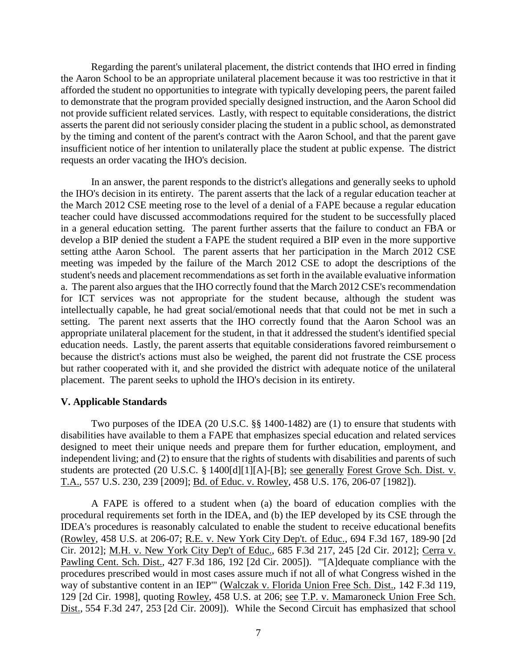Regarding the parent's unilateral placement, the district contends that IHO erred in finding the Aaron School to be an appropriate unilateral placement because it was too restrictive in that it afforded the student no opportunities to integrate with typically developing peers, the parent failed to demonstrate that the program provided specially designed instruction, and the Aaron School did not provide sufficient related services. Lastly, with respect to equitable considerations, the district asserts the parent did not seriously consider placing the student in a public school, as demonstrated by the timing and content of the parent's contract with the Aaron School, and that the parent gave insufficient notice of her intention to unilaterally place the student at public expense. The district requests an order vacating the IHO's decision.

In an answer, the parent responds to the district's allegations and generally seeks to uphold the IHO's decision in its entirety. The parent asserts that the lack of a regular education teacher at the March 2012 CSE meeting rose to the level of a denial of a FAPE because a regular education teacher could have discussed accommodations required for the student to be successfully placed in a general education setting. The parent further asserts that the failure to conduct an FBA or develop a BIP denied the student a FAPE the student required a BIP even in the more supportive setting atthe Aaron School. The parent asserts that her participation in the March 2012 CSE meeting was impeded by the failure of the March 2012 CSE to adopt the descriptions of the student's needs and placement recommendations as set forth in the available evaluative information a. The parent also argues that the IHO correctly found that the March 2012 CSE's recommendation for ICT services was not appropriate for the student because, although the student was intellectually capable, he had great social/emotional needs that that could not be met in such a setting. The parent next asserts that the IHO correctly found that the Aaron School was an appropriate unilateral placement for the student, in that it addressed the student's identified special education needs. Lastly, the parent asserts that equitable considerations favored reimbursement o because the district's actions must also be weighed, the parent did not frustrate the CSE process but rather cooperated with it, and she provided the district with adequate notice of the unilateral placement. The parent seeks to uphold the IHO's decision in its entirety.

#### **V. Applicable Standards**

Two purposes of the IDEA (20 U.S.C. §§ 1400-1482) are (1) to ensure that students with disabilities have available to them a FAPE that emphasizes special education and related services designed to meet their unique needs and prepare them for further education, employment, and independent living; and (2) to ensure that the rights of students with disabilities and parents of such students are protected (20 U.S.C. § 1400[d][1][A]-[B]; see generally Forest Grove Sch. Dist. v. T.A., 557 U.S. 230, 239 [2009]; Bd. of Educ. v. Rowley, 458 U.S. 176, 206-07 [1982]).

A FAPE is offered to a student when (a) the board of education complies with the procedural requirements set forth in the IDEA, and (b) the IEP developed by its CSE through the IDEA's procedures is reasonably calculated to enable the student to receive educational benefits (Rowley, 458 U.S. at 206-07; R.E. v. New York City Dep't. of Educ., 694 F.3d 167, 189-90 [2d Cir. 2012]; M.H. v. New York City Dep't of Educ., 685 F.3d 217, 245 [2d Cir. 2012]; Cerra v. Pawling Cent. Sch. Dist., 427 F.3d 186, 192 [2d Cir. 2005]). "'[A]dequate compliance with the procedures prescribed would in most cases assure much if not all of what Congress wished in the way of substantive content in an IEP'" (Walczak v. Florida Union Free Sch. Dist., 142 F.3d 119, 129 [2d Cir. 1998], quoting Rowley, 458 U.S. at 206; see T.P. v. Mamaroneck Union Free Sch. Dist., 554 F.3d 247, 253 [2d Cir. 2009]). While the Second Circuit has emphasized that school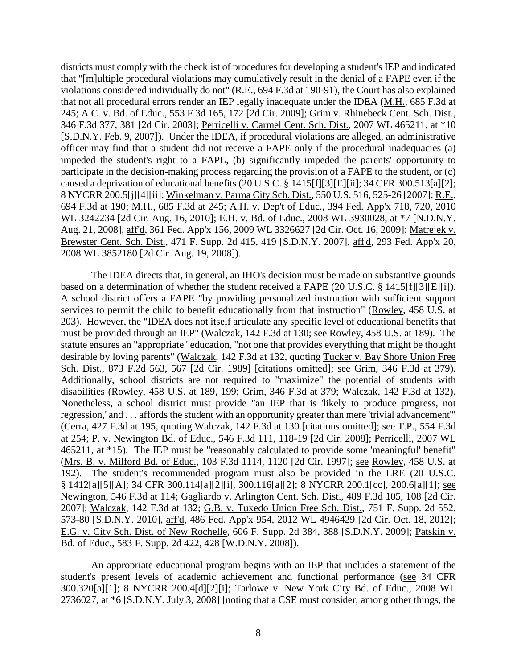districts must comply with the checklist of procedures for developing a student's IEP and indicated that "[m]ultiple procedural violations may cumulatively result in the denial of a FAPE even if the violations considered individually do not" (R.E., 694 F.3d at 190-91), the Court has also explained that not all procedural errors render an IEP legally inadequate under the IDEA (M.H., 685 F.3d at 245; A.C. v. Bd. of Educ., 553 F.3d 165, 172 [2d Cir. 2009]; Grim v. Rhinebeck Cent. Sch. Dist., 346 F.3d 377, 381 [2d Cir. 2003]; Perricelli v. Carmel Cent. Sch. Dist., 2007 WL 465211, at \*10 [S.D.N.Y. Feb. 9, 2007]). Under the IDEA, if procedural violations are alleged, an administrative officer may find that a student did not receive a FAPE only if the procedural inadequacies (a) impeded the student's right to a FAPE, (b) significantly impeded the parents' opportunity to participate in the decision-making process regarding the provision of a FAPE to the student, or (c) caused a deprivation of educational benefits (20 U.S.C. § 1415[f][3][E][ii]; 34 CFR 300.513[a][2]; 8 NYCRR 200.5[j][4][ii]; Winkelman v. Parma City Sch. Dist., 550 U.S. 516, 525-26 [2007]; R.E., 694 F.3d at 190; M.H., 685 F.3d at 245; A.H. v. Dep't of Educ., 394 Fed. App'x 718, 720, 2010 WL 3242234 [2d Cir. Aug. 16, 2010]; E.H. v. Bd. of Educ., 2008 WL 3930028, at \*7 [N.D.N.Y. Aug. 21, 2008], aff'd, 361 Fed. App'x 156, 2009 WL 3326627 [2d Cir. Oct. 16, 2009]; Matrejek v. Brewster Cent. Sch. Dist., 471 F. Supp. 2d 415, 419 [S.D.N.Y. 2007], aff'd, 293 Fed. App'x 20, 2008 WL 3852180 [2d Cir. Aug. 19, 2008]).

The IDEA directs that, in general, an IHO's decision must be made on substantive grounds based on a determination of whether the student received a FAPE (20 U.S.C. § 1415[f][3][E][i]). A school district offers a FAPE "by providing personalized instruction with sufficient support services to permit the child to benefit educationally from that instruction" (Rowley, 458 U.S. at 203). However, the "IDEA does not itself articulate any specific level of educational benefits that must be provided through an IEP" (Walczak, 142 F.3d at 130; see Rowley, 458 U.S. at 189). The statute ensures an "appropriate" education, "not one that provides everything that might be thought desirable by loving parents" (Walczak, 142 F.3d at 132, quoting Tucker v. Bay Shore Union Free Sch. Dist., 873 F.2d 563, 567 [2d Cir. 1989] [citations omitted]; see Grim, 346 F.3d at 379). Additionally, school districts are not required to "maximize" the potential of students with disabilities (Rowley, 458 U.S. at 189, 199; Grim, 346 F.3d at 379; Walczak, 142 F.3d at 132). Nonetheless, a school district must provide "an IEP that is 'likely to produce progress, not regression,' and . . . affords the student with an opportunity greater than mere 'trivial advancement'" (Cerra, 427 F.3d at 195, quoting Walczak, 142 F.3d at 130 [citations omitted]; see T.P., 554 F.3d at 254; P. v. Newington Bd. of Educ., 546 F.3d 111, 118-19 [2d Cir. 2008]; Perricelli, 2007 WL 465211, at \*15). The IEP must be "reasonably calculated to provide some 'meaningful' benefit" (Mrs. B. v. Milford Bd. of Educ., 103 F.3d 1114, 1120 [2d Cir. 1997]; see Rowley, 458 U.S. at 192). The student's recommended program must also be provided in the LRE (20 U.S.C. § 1412[a][5][A]; 34 CFR 300.114[a][2][i], 300.116[a][2]; 8 NYCRR 200.1[cc], 200.6[a][1]; see Newington, 546 F.3d at 114; Gagliardo v. Arlington Cent. Sch. Dist., 489 F.3d 105, 108 [2d Cir. 2007]; Walczak, 142 F.3d at 132; G.B. v. Tuxedo Union Free Sch. Dist., 751 F. Supp. 2d 552, 573-80 [S.D.N.Y. 2010], aff'd, 486 Fed. App'x 954, 2012 WL 4946429 [2d Cir. Oct. 18, 2012]; E.G. v. City Sch. Dist. of New Rochelle, 606 F. Supp. 2d 384, 388 [S.D.N.Y. 2009]; Patskin v. Bd. of Educ., 583 F. Supp. 2d 422, 428 [W.D.N.Y. 2008]).

An appropriate educational program begins with an IEP that includes a statement of the student's present levels of academic achievement and functional performance (see 34 CFR 300.320[a][1]; 8 NYCRR 200.4[d][2][i]; Tarlowe v. New York City Bd. of Educ., 2008 WL 2736027, at \*6 [S.D.N.Y. July 3, 2008] [noting that a CSE must consider, among other things, the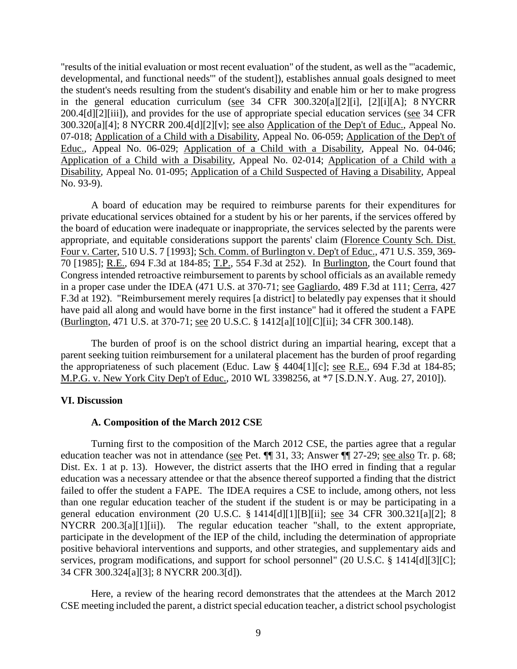"results of the initial evaluation or most recent evaluation" of the student, as well as the "'academic, developmental, and functional needs'" of the student]), establishes annual goals designed to meet the student's needs resulting from the student's disability and enable him or her to make progress in the general education curriculum (see 34 CFR 300.320[a][2][i], [2][i][A]; 8 NYCRR 200.4[d][2][iii]), and provides for the use of appropriate special education services (see 34 CFR 300.320[a][4]; 8 NYCRR 200.4[d][2][v]; see also Application of the Dep't of Educ., Appeal No. 07-018; Application of a Child with a Disability, Appeal No. 06-059; Application of the Dep't of Educ., Appeal No. 06-029; Application of a Child with a Disability, Appeal No. 04-046; Application of a Child with a Disability, Appeal No. 02-014; Application of a Child with a Disability, Appeal No. 01-095; Application of a Child Suspected of Having a Disability, Appeal No. 93-9).

A board of education may be required to reimburse parents for their expenditures for private educational services obtained for a student by his or her parents, if the services offered by the board of education were inadequate or inappropriate, the services selected by the parents were appropriate, and equitable considerations support the parents' claim (Florence County Sch. Dist. Four v. Carter, 510 U.S. 7 [1993]; Sch. Comm. of Burlington v. Dep't of Educ., 471 U.S. 359, 369- 70 [1985]; R.E., 694 F.3d at 184-85; T.P., 554 F.3d at 252). In Burlington, the Court found that Congress intended retroactive reimbursement to parents by school officials as an available remedy in a proper case under the IDEA (471 U.S. at 370-71; see Gagliardo, 489 F.3d at 111; Cerra, 427 F.3d at 192). "Reimbursement merely requires [a district] to belatedly pay expenses that it should have paid all along and would have borne in the first instance" had it offered the student a FAPE (Burlington, 471 U.S. at 370-71; see 20 U.S.C. § 1412[a][10][C][ii]; 34 CFR 300.148).

The burden of proof is on the school district during an impartial hearing, except that a parent seeking tuition reimbursement for a unilateral placement has the burden of proof regarding the appropriateness of such placement (Educ. Law § 4404[1][c]; see R.E., 694 F.3d at 184-85; M.P.G. v. New York City Dep't of Educ., 2010 WL 3398256, at \*7 [S.D.N.Y. Aug. 27, 2010]).

#### **VI. Discussion**

#### **A. Composition of the March 2012 CSE**

Turning first to the composition of the March 2012 CSE, the parties agree that a regular education teacher was not in attendance (see Pet. ¶¶ 31, 33; Answer ¶¶ 27-29; see also Tr. p. 68; Dist. Ex. 1 at p. 13). However, the district asserts that the IHO erred in finding that a regular education was a necessary attendee or that the absence thereof supported a finding that the district failed to offer the student a FAPE. The IDEA requires a CSE to include, among others, not less than one regular education teacher of the student if the student is or may be participating in a general education environment (20 U.S.C. § 1414[d][1][B][ii]; see 34 CFR 300.321[a][2]; 8 NYCRR 200.3[a][1][ii]). The regular education teacher "shall, to the extent appropriate, participate in the development of the IEP of the child, including the determination of appropriate positive behavioral interventions and supports, and other strategies, and supplementary aids and services, program modifications, and support for school personnel" (20 U.S.C. § 1414[d][3][C]; 34 CFR 300.324[a][3]; 8 NYCRR 200.3[d]).

Here, a review of the hearing record demonstrates that the attendees at the March 2012 CSE meeting included the parent, a district special education teacher, a district school psychologist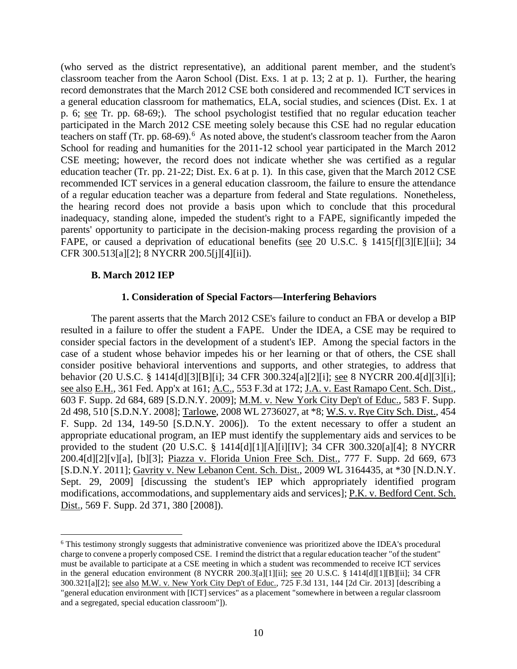(who served as the district representative), an additional parent member, and the student's classroom teacher from the Aaron School (Dist. Exs. 1 at p. 13; 2 at p. 1). Further, the hearing record demonstrates that the March 2012 CSE both considered and recommended ICT services in a general education classroom for mathematics, ELA, social studies, and sciences (Dist. Ex. 1 at p. 6; see Tr. pp. 68-69;). The school psychologist testified that no regular education teacher participated in the March 2012 CSE meeting solely because this CSE had no regular education teachers on staff (Tr. pp. 68-69).<sup>6</sup> As noted above, the student's classroom teacher from the Aaron School for reading and humanities for the 2011-12 school year participated in the March 2012 CSE meeting; however, the record does not indicate whether she was certified as a regular education teacher (Tr. pp. 21-22; Dist. Ex. 6 at p. 1). In this case, given that the March 2012 CSE recommended ICT services in a general education classroom, the failure to ensure the attendance of a regular education teacher was a departure from federal and State regulations. Nonetheless, the hearing record does not provide a basis upon which to conclude that this procedural inadequacy, standing alone, impeded the student's right to a FAPE, significantly impeded the parents' opportunity to participate in the decision-making process regarding the provision of a FAPE, or caused a deprivation of educational benefits (see 20 U.S.C. § 1415[f][3][E][ii]; 34 CFR 300.513[a][2]; 8 NYCRR 200.5[j][4][ii]).

#### **B. March 2012 IEP**

#### **1. Consideration of Special Factors—Interfering Behaviors**

The parent asserts that the March 2012 CSE's failure to conduct an FBA or develop a BIP resulted in a failure to offer the student a FAPE. Under the IDEA, a CSE may be required to consider special factors in the development of a student's IEP. Among the special factors in the case of a student whose behavior impedes his or her learning or that of others, the CSE shall consider positive behavioral interventions and supports, and other strategies, to address that behavior (20 U.S.C. § 1414[d][3][B][i]; 34 CFR 300.324[a][2][i]; see 8 NYCRR 200.4[d][3][i]; see also E.H., 361 Fed. App'x at 161; A.C., 553 F.3d at 172; J.A. v. East Ramapo Cent. Sch. Dist., 603 F. Supp. 2d 684, 689 [S.D.N.Y. 2009]; M.M. v. New York City Dep't of Educ., 583 F. Supp. 2d 498, 510 [S.D.N.Y. 2008]; Tarlowe, 2008 WL 2736027, at \*8; W.S. v. Rye City Sch. Dist., 454 F. Supp. 2d 134, 149-50 [S.D.N.Y. 2006]). To the extent necessary to offer a student an appropriate educational program, an IEP must identify the supplementary aids and services to be provided to the student (20 U.S.C. § 1414[d][1][A][i][IV]; 34 CFR 300.320[a][4]; 8 NYCRR 200.4[d][2][v][a], [b][3]; Piazza v. Florida Union Free Sch. Dist., 777 F. Supp. 2d 669, 673 [S.D.N.Y. 2011]; Gavrity v. New Lebanon Cent. Sch. Dist., 2009 WL 3164435, at \*30 [N.D.N.Y. Sept. 29, 2009] [discussing the student's IEP which appropriately identified program modifications, accommodations, and supplementary aids and services]; P.K. v. Bedford Cent. Sch. Dist., 569 F. Supp. 2d 371, 380 [2008]).

 <sup>6</sup> This testimony strongly suggests that administrative convenience was prioritized above the IDEA's procedural charge to convene a properly composed CSE. I remind the district that a regular education teacher "of the student" must be available to participate at a CSE meeting in which a student was recommended to receive ICT services in the general education environment (8 NYCRR 200.3[a][1][ii]; see 20 U.S.C. § 1414[d][1][B][ii]; 34 CFR 300.321[a][2]; see also M.W. v. New York City Dep't of Educ., 725 F.3d 131, 144 [2d Cir. 2013] [describing a "general education environment with [ICT] services" as a placement "somewhere in between a regular classroom and a segregated, special education classroom"]).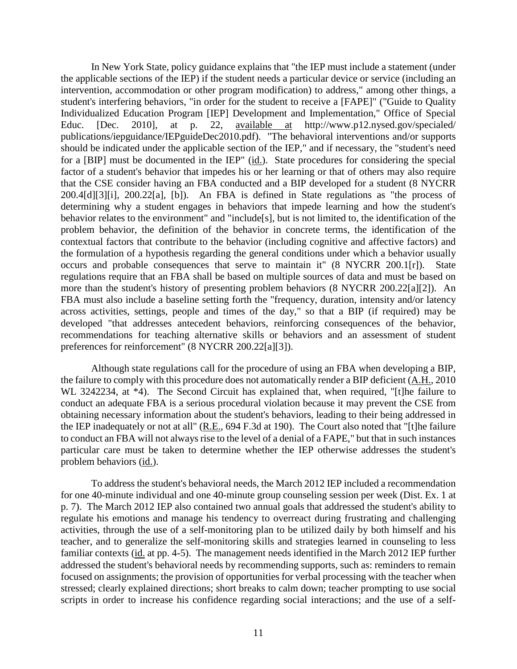In New York State, policy guidance explains that "the IEP must include a statement (under the applicable sections of the IEP) if the student needs a particular device or service (including an intervention, accommodation or other program modification) to address," among other things, a student's interfering behaviors, "in order for the student to receive a [FAPE]" ("Guide to Quality Individualized Education Program [IEP] Development and Implementation," Office of Special Educ. [Dec. 2010], at p. 22, available at http://www.p12.nysed.gov/specialed/ publications/iepguidance/IEPguideDec2010.pdf). "The behavioral interventions and/or supports should be indicated under the applicable section of the IEP," and if necessary, the "student's need for a [BIP] must be documented in the IEP" (id.). State procedures for considering the special factor of a student's behavior that impedes his or her learning or that of others may also require that the CSE consider having an FBA conducted and a BIP developed for a student (8 NYCRR 200.4[d][3][i], 200.22[a], [b]). An FBA is defined in State regulations as "the process of determining why a student engages in behaviors that impede learning and how the student's behavior relates to the environment" and "include[s], but is not limited to, the identification of the problem behavior, the definition of the behavior in concrete terms, the identification of the contextual factors that contribute to the behavior (including cognitive and affective factors) and the formulation of a hypothesis regarding the general conditions under which a behavior usually occurs and probable consequences that serve to maintain it" (8 NYCRR 200.1[r]). State regulations require that an FBA shall be based on multiple sources of data and must be based on more than the student's history of presenting problem behaviors (8 NYCRR 200.22[a][2]). An FBA must also include a baseline setting forth the "frequency, duration, intensity and/or latency across activities, settings, people and times of the day," so that a BIP (if required) may be developed "that addresses antecedent behaviors, reinforcing consequences of the behavior, recommendations for teaching alternative skills or behaviors and an assessment of student preferences for reinforcement" (8 NYCRR 200.22[a][3]).

Although state regulations call for the procedure of using an FBA when developing a BIP, the failure to comply with this procedure does not automatically render a BIP deficient (A.H., 2010 WL 3242234, at  $*4$ ). The Second Circuit has explained that, when required, "[t]he failure to conduct an adequate FBA is a serious procedural violation because it may prevent the CSE from obtaining necessary information about the student's behaviors, leading to their being addressed in the IEP inadequately or not at all" (R.E., 694 F.3d at 190). The Court also noted that "[t]he failure to conduct an FBA will not always rise to the level of a denial of a FAPE," but that in such instances particular care must be taken to determine whether the IEP otherwise addresses the student's problem behaviors (id.).

To address the student's behavioral needs, the March 2012 IEP included a recommendation for one 40-minute individual and one 40-minute group counseling session per week (Dist. Ex. 1 at p. 7). The March 2012 IEP also contained two annual goals that addressed the student's ability to regulate his emotions and manage his tendency to overreact during frustrating and challenging activities, through the use of a self-monitoring plan to be utilized daily by both himself and his teacher, and to generalize the self-monitoring skills and strategies learned in counseling to less familiar contexts (id. at pp. 4-5). The management needs identified in the March 2012 IEP further addressed the student's behavioral needs by recommending supports, such as: reminders to remain focused on assignments; the provision of opportunities for verbal processing with the teacher when stressed; clearly explained directions; short breaks to calm down; teacher prompting to use social scripts in order to increase his confidence regarding social interactions; and the use of a self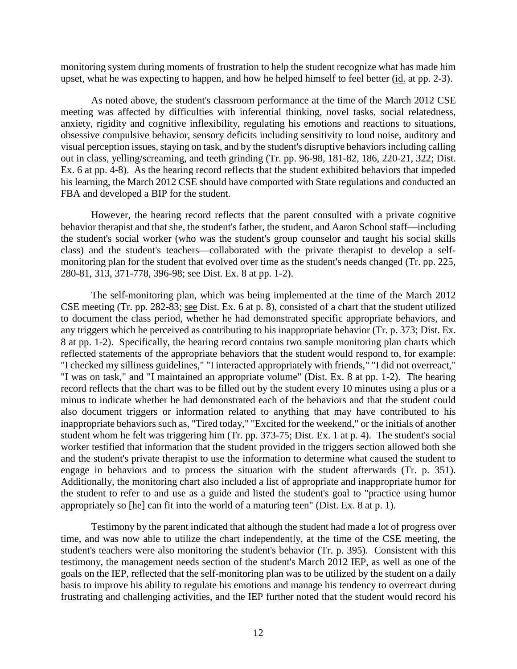monitoring system during moments of frustration to help the student recognize what has made him upset, what he was expecting to happen, and how he helped himself to feel better (id. at pp. 2-3).

As noted above, the student's classroom performance at the time of the March 2012 CSE meeting was affected by difficulties with inferential thinking, novel tasks, social relatedness, anxiety, rigidity and cognitive inflexibility, regulating his emotions and reactions to situations, obsessive compulsive behavior, sensory deficits including sensitivity to loud noise, auditory and visual perception issues, staying on task, and by the student's disruptive behaviors including calling out in class, yelling/screaming, and teeth grinding (Tr. pp. 96-98, 181-82, 186, 220-21, 322; Dist. Ex. 6 at pp. 4-8). As the hearing record reflects that the student exhibited behaviors that impeded his learning, the March 2012 CSE should have comported with State regulations and conducted an FBA and developed a BIP for the student.

However, the hearing record reflects that the parent consulted with a private cognitive behavior therapist and that she, the student's father, the student, and Aaron School staff—including the student's social worker (who was the student's group counselor and taught his social skills class) and the student's teachers—collaborated with the private therapist to develop a selfmonitoring plan for the student that evolved over time as the student's needs changed (Tr. pp. 225, 280-81, 313, 371-778, 396-98; see Dist. Ex. 8 at pp. 1-2).

The self-monitoring plan, which was being implemented at the time of the March 2012 CSE meeting (Tr. pp. 282-83; see Dist. Ex. 6 at p. 8), consisted of a chart that the student utilized to document the class period, whether he had demonstrated specific appropriate behaviors, and any triggers which he perceived as contributing to his inappropriate behavior (Tr. p. 373; Dist. Ex. 8 at pp. 1-2). Specifically, the hearing record contains two sample monitoring plan charts which reflected statements of the appropriate behaviors that the student would respond to, for example: "I checked my silliness guidelines," "I interacted appropriately with friends," "I did not overreact," "I was on task," and "I maintained an appropriate volume" (Dist. Ex. 8 at pp. 1-2). The hearing record reflects that the chart was to be filled out by the student every 10 minutes using a plus or a minus to indicate whether he had demonstrated each of the behaviors and that the student could also document triggers or information related to anything that may have contributed to his inappropriate behaviors such as, "Tired today," "Excited for the weekend," or the initials of another student whom he felt was triggering him (Tr. pp. 373-75; Dist. Ex. 1 at p. 4). The student's social worker testified that information that the student provided in the triggers section allowed both she and the student's private therapist to use the information to determine what caused the student to engage in behaviors and to process the situation with the student afterwards (Tr. p. 351). Additionally, the monitoring chart also included a list of appropriate and inappropriate humor for the student to refer to and use as a guide and listed the student's goal to "practice using humor appropriately so [he] can fit into the world of a maturing teen" (Dist. Ex. 8 at p. 1).

Testimony by the parent indicated that although the student had made a lot of progress over time, and was now able to utilize the chart independently, at the time of the CSE meeting, the student's teachers were also monitoring the student's behavior (Tr. p. 395). Consistent with this testimony, the management needs section of the student's March 2012 IEP, as well as one of the goals on the IEP, reflected that the self-monitoring plan was to be utilized by the student on a daily basis to improve his ability to regulate his emotions and manage his tendency to overreact during frustrating and challenging activities, and the IEP further noted that the student would record his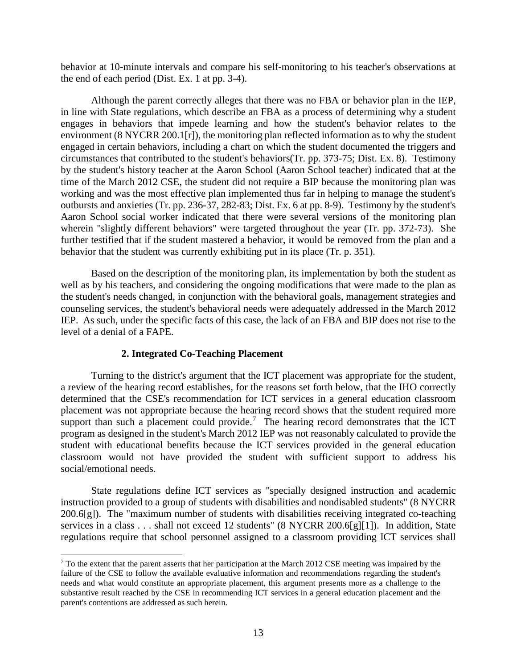behavior at 10-minute intervals and compare his self-monitoring to his teacher's observations at the end of each period (Dist. Ex. 1 at pp. 3-4).

Although the parent correctly alleges that there was no FBA or behavior plan in the IEP, in line with State regulations, which describe an FBA as a process of determining why a student engages in behaviors that impede learning and how the student's behavior relates to the environment (8 NYCRR 200.1[r]), the monitoring plan reflected information as to why the student engaged in certain behaviors, including a chart on which the student documented the triggers and circumstances that contributed to the student's behaviors(Tr. pp. 373-75; Dist. Ex. 8). Testimony by the student's history teacher at the Aaron School (Aaron School teacher) indicated that at the time of the March 2012 CSE, the student did not require a BIP because the monitoring plan was working and was the most effective plan implemented thus far in helping to manage the student's outbursts and anxieties (Tr. pp. 236-37, 282-83; Dist. Ex. 6 at pp. 8-9). Testimony by the student's Aaron School social worker indicated that there were several versions of the monitoring plan wherein "slightly different behaviors" were targeted throughout the year (Tr. pp. 372-73). She further testified that if the student mastered a behavior, it would be removed from the plan and a behavior that the student was currently exhibiting put in its place (Tr. p. 351).

Based on the description of the monitoring plan, its implementation by both the student as well as by his teachers, and considering the ongoing modifications that were made to the plan as the student's needs changed, in conjunction with the behavioral goals, management strategies and counseling services, the student's behavioral needs were adequately addressed in the March 2012 IEP. As such, under the specific facts of this case, the lack of an FBA and BIP does not rise to the level of a denial of a FAPE.

## **2. Integrated Co-Teaching Placement**

Turning to the district's argument that the ICT placement was appropriate for the student, a review of the hearing record establishes, for the reasons set forth below, that the IHO correctly determined that the CSE's recommendation for ICT services in a general education classroom placement was not appropriate because the hearing record shows that the student required more support than such a placement could provide.<sup>7</sup> The hearing record demonstrates that the ICT program as designed in the student's March 2012 IEP was not reasonably calculated to provide the student with educational benefits because the ICT services provided in the general education classroom would not have provided the student with sufficient support to address his social/emotional needs.

State regulations define ICT services as "specially designed instruction and academic instruction provided to a group of students with disabilities and nondisabled students" (8 NYCRR 200.6[g]). The "maximum number of students with disabilities receiving integrated co-teaching services in a class . . . shall not exceed 12 students" (8 NYCRR 200.6[g][1]). In addition, State regulations require that school personnel assigned to a classroom providing ICT services shall

 $7$  To the extent that the parent asserts that her participation at the March 2012 CSE meeting was impaired by the failure of the CSE to follow the available evaluative information and recommendations regarding the student's needs and what would constitute an appropriate placement, this argument presents more as a challenge to the substantive result reached by the CSE in recommending ICT services in a general education placement and the parent's contentions are addressed as such herein.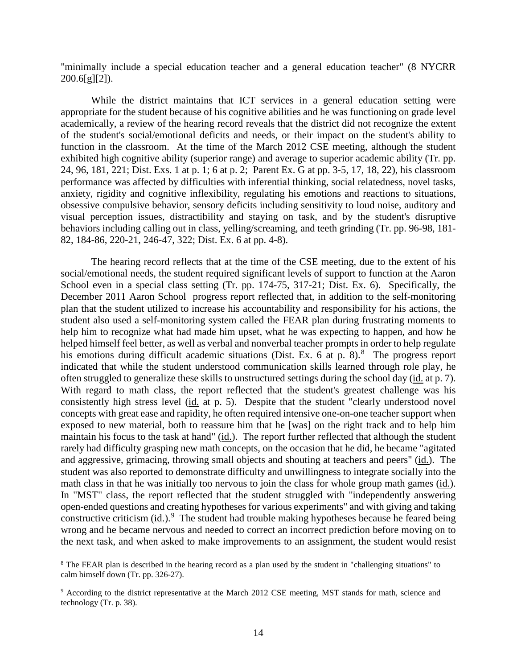"minimally include a special education teacher and a general education teacher" (8 NYCRR  $200.6[g][2]$ .

While the district maintains that ICT services in a general education setting were appropriate for the student because of his cognitive abilities and he was functioning on grade level academically, a review of the hearing record reveals that the district did not recognize the extent of the student's social/emotional deficits and needs, or their impact on the student's ability to function in the classroom. At the time of the March 2012 CSE meeting, although the student exhibited high cognitive ability (superior range) and average to superior academic ability (Tr. pp. 24, 96, 181, 221; Dist. Exs. 1 at p. 1; 6 at p. 2; Parent Ex. G at pp. 3-5, 17, 18, 22), his classroom performance was affected by difficulties with inferential thinking, social relatedness, novel tasks, anxiety, rigidity and cognitive inflexibility, regulating his emotions and reactions to situations, obsessive compulsive behavior, sensory deficits including sensitivity to loud noise, auditory and visual perception issues, distractibility and staying on task, and by the student's disruptive behaviors including calling out in class, yelling/screaming, and teeth grinding (Tr. pp. 96-98, 181- 82, 184-86, 220-21, 246-47, 322; Dist. Ex. 6 at pp. 4-8).

The hearing record reflects that at the time of the CSE meeting, due to the extent of his social/emotional needs, the student required significant levels of support to function at the Aaron School even in a special class setting (Tr. pp. 174-75, 317-21; Dist. Ex. 6). Specifically, the December 2011 Aaron School progress report reflected that, in addition to the self-monitoring plan that the student utilized to increase his accountability and responsibility for his actions, the student also used a self-monitoring system called the FEAR plan during frustrating moments to help him to recognize what had made him upset, what he was expecting to happen, and how he helped himself feel better, as well as verbal and nonverbal teacher prompts in order to help regulate his emotions during difficult academic situations (Dist. Ex. 6 at p. 8).<sup>8</sup> The progress report indicated that while the student understood communication skills learned through role play, he often struggled to generalize these skills to unstructured settings during the school day (id. at p. 7). With regard to math class, the report reflected that the student's greatest challenge was his consistently high stress level (id. at p. 5). Despite that the student "clearly understood novel concepts with great ease and rapidity, he often required intensive one-on-one teacher support when exposed to new material, both to reassure him that he [was] on the right track and to help him maintain his focus to the task at hand" (id.). The report further reflected that although the student rarely had difficulty grasping new math concepts, on the occasion that he did, he became "agitated and aggressive, grimacing, throwing small objects and shouting at teachers and peers" (id.). The student was also reported to demonstrate difficulty and unwillingness to integrate socially into the math class in that he was initially too nervous to join the class for whole group math games (id.). In "MST" class, the report reflected that the student struggled with "independently answering open-ended questions and creating hypotheses for various experiments" and with giving and taking constructive criticism (id.).<sup>9</sup> The student had trouble making hypotheses because he feared being wrong and he became nervous and needed to correct an incorrect prediction before moving on to the next task, and when asked to make improvements to an assignment, the student would resist

<sup>&</sup>lt;sup>8</sup> The FEAR plan is described in the hearing record as a plan used by the student in "challenging situations" to calm himself down (Tr. pp. 326-27).

<sup>9</sup> According to the district representative at the March 2012 CSE meeting, MST stands for math, science and technology (Tr. p. 38).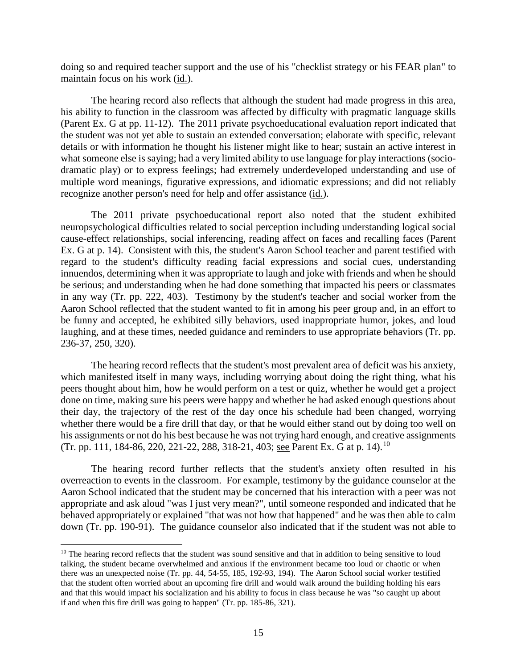doing so and required teacher support and the use of his "checklist strategy or his FEAR plan" to maintain focus on his work (id.).

The hearing record also reflects that although the student had made progress in this area, his ability to function in the classroom was affected by difficulty with pragmatic language skills (Parent Ex. G at pp. 11-12). The 2011 private psychoeducational evaluation report indicated that the student was not yet able to sustain an extended conversation; elaborate with specific, relevant details or with information he thought his listener might like to hear; sustain an active interest in what someone else is saying; had a very limited ability to use language for play interactions (sociodramatic play) or to express feelings; had extremely underdeveloped understanding and use of multiple word meanings, figurative expressions, and idiomatic expressions; and did not reliably recognize another person's need for help and offer assistance (id.).

The 2011 private psychoeducational report also noted that the student exhibited neuropsychological difficulties related to social perception including understanding logical social cause-effect relationships, social inferencing, reading affect on faces and recalling faces (Parent Ex. G at p. 14). Consistent with this, the student's Aaron School teacher and parent testified with regard to the student's difficulty reading facial expressions and social cues, understanding innuendos, determining when it was appropriate to laugh and joke with friends and when he should be serious; and understanding when he had done something that impacted his peers or classmates in any way (Tr. pp. 222, 403). Testimony by the student's teacher and social worker from the Aaron School reflected that the student wanted to fit in among his peer group and, in an effort to be funny and accepted, he exhibited silly behaviors, used inappropriate humor, jokes, and loud laughing, and at these times, needed guidance and reminders to use appropriate behaviors (Tr. pp. 236-37, 250, 320).

The hearing record reflects that the student's most prevalent area of deficit was his anxiety, which manifested itself in many ways, including worrying about doing the right thing, what his peers thought about him, how he would perform on a test or quiz, whether he would get a project done on time, making sure his peers were happy and whether he had asked enough questions about their day, the trajectory of the rest of the day once his schedule had been changed, worrying whether there would be a fire drill that day, or that he would either stand out by doing too well on his assignments or not do his best because he was not trying hard enough, and creative assignments (Tr. pp. 111, 184-86, 220, 221-22, 288, 318-21, 403; see Parent Ex. G at p. 14).<sup>10</sup>

The hearing record further reflects that the student's anxiety often resulted in his overreaction to events in the classroom. For example, testimony by the guidance counselor at the Aaron School indicated that the student may be concerned that his interaction with a peer was not appropriate and ask aloud "was I just very mean?", until someone responded and indicated that he behaved appropriately or explained "that was not how that happened" and he was then able to calm down (Tr. pp. 190-91). The guidance counselor also indicated that if the student was not able to

 $10$  The hearing record reflects that the student was sound sensitive and that in addition to being sensitive to loud talking, the student became overwhelmed and anxious if the environment became too loud or chaotic or when there was an unexpected noise (Tr. pp. 44, 54-55, 185, 192-93, 194). The Aaron School social worker testified that the student often worried about an upcoming fire drill and would walk around the building holding his ears and that this would impact his socialization and his ability to focus in class because he was "so caught up about if and when this fire drill was going to happen" (Tr. pp. 185-86, 321).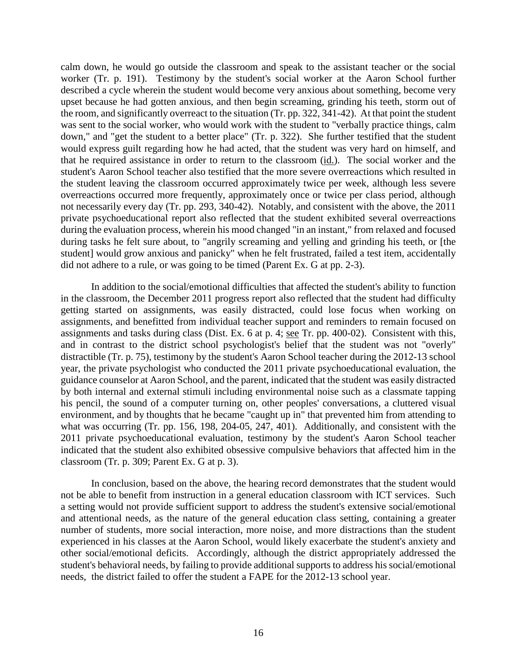calm down, he would go outside the classroom and speak to the assistant teacher or the social worker (Tr. p. 191). Testimony by the student's social worker at the Aaron School further described a cycle wherein the student would become very anxious about something, become very upset because he had gotten anxious, and then begin screaming, grinding his teeth, storm out of the room, and significantly overreact to the situation (Tr. pp. 322, 341-42). At that point the student was sent to the social worker, who would work with the student to "verbally practice things, calm down," and "get the student to a better place" (Tr. p. 322). She further testified that the student would express guilt regarding how he had acted, that the student was very hard on himself, and that he required assistance in order to return to the classroom (id.). The social worker and the student's Aaron School teacher also testified that the more severe overreactions which resulted in the student leaving the classroom occurred approximately twice per week, although less severe overreactions occurred more frequently, approximately once or twice per class period, although not necessarily every day (Tr. pp. 293, 340-42). Notably, and consistent with the above, the 2011 private psychoeducational report also reflected that the student exhibited several overreactions during the evaluation process, wherein his mood changed "in an instant," from relaxed and focused during tasks he felt sure about, to "angrily screaming and yelling and grinding his teeth, or [the student] would grow anxious and panicky" when he felt frustrated, failed a test item, accidentally did not adhere to a rule, or was going to be timed (Parent Ex. G at pp. 2-3).

In addition to the social/emotional difficulties that affected the student's ability to function in the classroom, the December 2011 progress report also reflected that the student had difficulty getting started on assignments, was easily distracted, could lose focus when working on assignments, and benefitted from individual teacher support and reminders to remain focused on assignments and tasks during class (Dist. Ex. 6 at p. 4; see Tr. pp. 400-02). Consistent with this, and in contrast to the district school psychologist's belief that the student was not "overly" distractible (Tr. p. 75), testimony by the student's Aaron School teacher during the 2012-13 school year, the private psychologist who conducted the 2011 private psychoeducational evaluation, the guidance counselor at Aaron School, and the parent, indicated that the student was easily distracted by both internal and external stimuli including environmental noise such as a classmate tapping his pencil, the sound of a computer turning on, other peoples' conversations, a cluttered visual environment, and by thoughts that he became "caught up in" that prevented him from attending to what was occurring (Tr. pp. 156, 198, 204-05, 247, 401). Additionally, and consistent with the 2011 private psychoeducational evaluation, testimony by the student's Aaron School teacher indicated that the student also exhibited obsessive compulsive behaviors that affected him in the classroom (Tr. p. 309; Parent Ex. G at p. 3).

In conclusion, based on the above, the hearing record demonstrates that the student would not be able to benefit from instruction in a general education classroom with ICT services. Such a setting would not provide sufficient support to address the student's extensive social/emotional and attentional needs, as the nature of the general education class setting, containing a greater number of students, more social interaction, more noise, and more distractions than the student experienced in his classes at the Aaron School, would likely exacerbate the student's anxiety and other social/emotional deficits. Accordingly, although the district appropriately addressed the student's behavioral needs, by failing to provide additional supports to address his social/emotional needs, the district failed to offer the student a FAPE for the 2012-13 school year.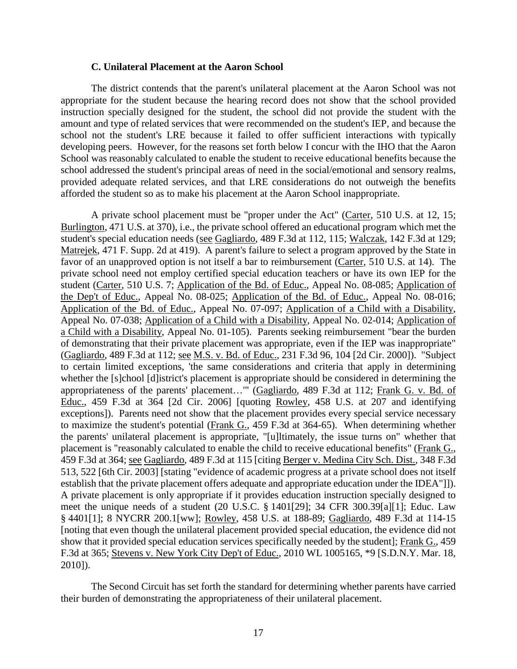#### **C. Unilateral Placement at the Aaron School**

The district contends that the parent's unilateral placement at the Aaron School was not appropriate for the student because the hearing record does not show that the school provided instruction specially designed for the student, the school did not provide the student with the amount and type of related services that were recommended on the student's IEP, and because the school not the student's LRE because it failed to offer sufficient interactions with typically developing peers. However, for the reasons set forth below I concur with the IHO that the Aaron School was reasonably calculated to enable the student to receive educational benefits because the school addressed the student's principal areas of need in the social/emotional and sensory realms, provided adequate related services, and that LRE considerations do not outweigh the benefits afforded the student so as to make his placement at the Aaron School inappropriate.

A private school placement must be "proper under the Act" (Carter, 510 U.S. at 12, 15; Burlington, 471 U.S. at 370), i.e., the private school offered an educational program which met the student's special education needs (see Gagliardo, 489 F.3d at 112, 115; Walczak, 142 F.3d at 129; Matrejek, 471 F. Supp. 2d at 419). A parent's failure to select a program approved by the State in favor of an unapproved option is not itself a bar to reimbursement (Carter, 510 U.S. at 14). The private school need not employ certified special education teachers or have its own IEP for the student (Carter, 510 U.S. 7; Application of the Bd. of Educ., Appeal No. 08-085; Application of the Dep't of Educ., Appeal No. 08-025; Application of the Bd. of Educ., Appeal No. 08-016; Application of the Bd. of Educ., Appeal No. 07-097; Application of a Child with a Disability, Appeal No. 07-038; Application of a Child with a Disability, Appeal No. 02-014; Application of a Child with a Disability, Appeal No. 01-105). Parents seeking reimbursement "bear the burden of demonstrating that their private placement was appropriate, even if the IEP was inappropriate" (Gagliardo, 489 F.3d at 112; see M.S. v. Bd. of Educ., 231 F.3d 96, 104 [2d Cir. 2000]). "Subject to certain limited exceptions, 'the same considerations and criteria that apply in determining whether the [s]chool [d]istrict's placement is appropriate should be considered in determining the appropriateness of the parents' placement…'" (Gagliardo, 489 F.3d at 112; Frank G. v. Bd. of Educ., 459 F.3d at 364 [2d Cir. 2006] [quoting Rowley, 458 U.S. at 207 and identifying exceptions]). Parents need not show that the placement provides every special service necessary to maximize the student's potential (Frank G., 459 F.3d at 364-65). When determining whether the parents' unilateral placement is appropriate, "[u]ltimately, the issue turns on" whether that placement is "reasonably calculated to enable the child to receive educational benefits" (Frank G., 459 F.3d at 364; see Gagliardo, 489 F.3d at 115 [citing Berger v. Medina City Sch. Dist., 348 F.3d 513, 522 [6th Cir. 2003] [stating "evidence of academic progress at a private school does not itself establish that the private placement offers adequate and appropriate education under the IDEA"]]). A private placement is only appropriate if it provides education instruction specially designed to meet the unique needs of a student (20 U.S.C. § 1401[29]; 34 CFR 300.39[a][1]; Educ. Law § 4401[1]; 8 NYCRR 200.1[ww]; Rowley, 458 U.S. at 188-89; Gagliardo, 489 F.3d at 114-15 [noting that even though the unilateral placement provided special education, the evidence did not show that it provided special education services specifically needed by the student]; Frank G., 459 F.3d at 365; Stevens v. New York City Dep't of Educ., 2010 WL 1005165, \*9 [S.D.N.Y. Mar. 18, 2010]).

The Second Circuit has set forth the standard for determining whether parents have carried their burden of demonstrating the appropriateness of their unilateral placement.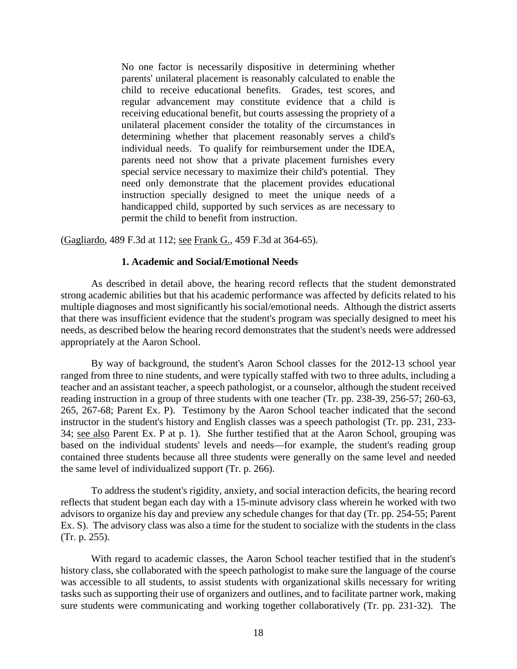No one factor is necessarily dispositive in determining whether parents' unilateral placement is reasonably calculated to enable the child to receive educational benefits. Grades, test scores, and regular advancement may constitute evidence that a child is receiving educational benefit, but courts assessing the propriety of a unilateral placement consider the totality of the circumstances in determining whether that placement reasonably serves a child's individual needs. To qualify for reimbursement under the IDEA, parents need not show that a private placement furnishes every special service necessary to maximize their child's potential. They need only demonstrate that the placement provides educational instruction specially designed to meet the unique needs of a handicapped child, supported by such services as are necessary to permit the child to benefit from instruction.

(Gagliardo, 489 F.3d at 112; see Frank G., 459 F.3d at 364-65).

## **1. Academic and Social/Emotional Needs**

As described in detail above, the hearing record reflects that the student demonstrated strong academic abilities but that his academic performance was affected by deficits related to his multiple diagnoses and most significantly his social/emotional needs. Although the district asserts that there was insufficient evidence that the student's program was specially designed to meet his needs, as described below the hearing record demonstrates that the student's needs were addressed appropriately at the Aaron School.

By way of background, the student's Aaron School classes for the 2012-13 school year ranged from three to nine students, and were typically staffed with two to three adults, including a teacher and an assistant teacher, a speech pathologist, or a counselor, although the student received reading instruction in a group of three students with one teacher (Tr. pp. 238-39, 256-57; 260-63, 265, 267-68; Parent Ex. P). Testimony by the Aaron School teacher indicated that the second instructor in the student's history and English classes was a speech pathologist (Tr. pp. 231, 233- 34; see also Parent Ex. P at p. 1). She further testified that at the Aaron School, grouping was based on the individual students' levels and needs—for example, the student's reading group contained three students because all three students were generally on the same level and needed the same level of individualized support (Tr. p. 266).

To address the student's rigidity, anxiety, and social interaction deficits, the hearing record reflects that student began each day with a 15-minute advisory class wherein he worked with two advisors to organize his day and preview any schedule changes for that day (Tr. pp. 254-55; Parent Ex. S). The advisory class was also a time for the student to socialize with the students in the class (Tr. p. 255).

With regard to academic classes, the Aaron School teacher testified that in the student's history class, she collaborated with the speech pathologist to make sure the language of the course was accessible to all students, to assist students with organizational skills necessary for writing tasks such as supporting their use of organizers and outlines, and to facilitate partner work, making sure students were communicating and working together collaboratively (Tr. pp. 231-32). The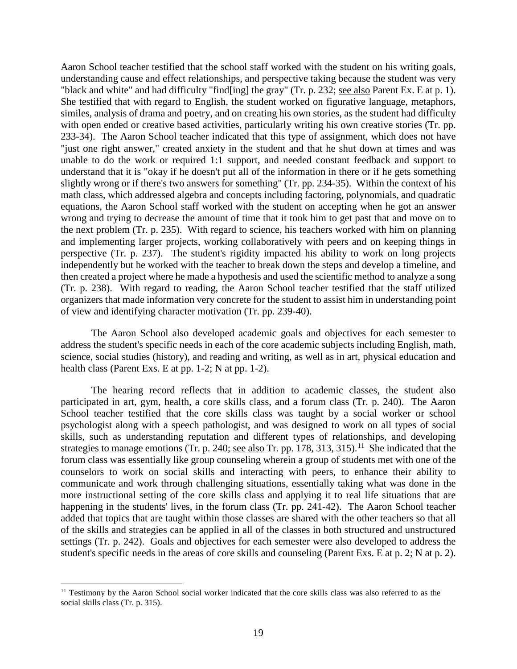Aaron School teacher testified that the school staff worked with the student on his writing goals, understanding cause and effect relationships, and perspective taking because the student was very "black and white" and had difficulty "find[ing] the gray" (Tr. p. 232; see also Parent Ex. E at p. 1). She testified that with regard to English, the student worked on figurative language, metaphors, similes, analysis of drama and poetry, and on creating his own stories, as the student had difficulty with open ended or creative based activities, particularly writing his own creative stories (Tr. pp. 233-34). The Aaron School teacher indicated that this type of assignment, which does not have "just one right answer," created anxiety in the student and that he shut down at times and was unable to do the work or required 1:1 support, and needed constant feedback and support to understand that it is "okay if he doesn't put all of the information in there or if he gets something slightly wrong or if there's two answers for something" (Tr. pp. 234-35). Within the context of his math class, which addressed algebra and concepts including factoring, polynomials, and quadratic equations, the Aaron School staff worked with the student on accepting when he got an answer wrong and trying to decrease the amount of time that it took him to get past that and move on to the next problem (Tr. p. 235). With regard to science, his teachers worked with him on planning and implementing larger projects, working collaboratively with peers and on keeping things in perspective (Tr. p. 237). The student's rigidity impacted his ability to work on long projects independently but he worked with the teacher to break down the steps and develop a timeline, and then created a project where he made a hypothesis and used the scientific method to analyze a song (Tr. p. 238). With regard to reading, the Aaron School teacher testified that the staff utilized organizers that made information very concrete for the student to assist him in understanding point of view and identifying character motivation (Tr. pp. 239-40).

The Aaron School also developed academic goals and objectives for each semester to address the student's specific needs in each of the core academic subjects including English, math, science, social studies (history), and reading and writing, as well as in art, physical education and health class (Parent Exs. E at pp. 1-2; N at pp. 1-2).

The hearing record reflects that in addition to academic classes, the student also participated in art, gym, health, a core skills class, and a forum class (Tr. p. 240). The Aaron School teacher testified that the core skills class was taught by a social worker or school psychologist along with a speech pathologist, and was designed to work on all types of social skills, such as understanding reputation and different types of relationships, and developing strategies to manage emotions (Tr. p. 240; see also Tr. pp. 178, 313, 315).<sup>11</sup> She indicated that the forum class was essentially like group counseling wherein a group of students met with one of the counselors to work on social skills and interacting with peers, to enhance their ability to communicate and work through challenging situations, essentially taking what was done in the more instructional setting of the core skills class and applying it to real life situations that are happening in the students' lives, in the forum class (Tr. pp. 241-42). The Aaron School teacher added that topics that are taught within those classes are shared with the other teachers so that all of the skills and strategies can be applied in all of the classes in both structured and unstructured settings (Tr. p. 242). Goals and objectives for each semester were also developed to address the student's specific needs in the areas of core skills and counseling (Parent Exs. E at p. 2; N at p. 2).

<sup>&</sup>lt;sup>11</sup> Testimony by the Aaron School social worker indicated that the core skills class was also referred to as the social skills class (Tr. p. 315).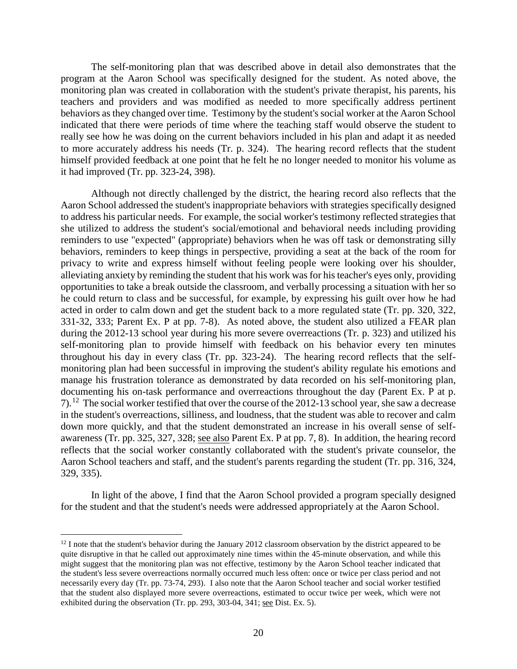The self-monitoring plan that was described above in detail also demonstrates that the program at the Aaron School was specifically designed for the student. As noted above, the monitoring plan was created in collaboration with the student's private therapist, his parents, his teachers and providers and was modified as needed to more specifically address pertinent behaviors as they changed over time. Testimony by the student's social worker at the Aaron School indicated that there were periods of time where the teaching staff would observe the student to really see how he was doing on the current behaviors included in his plan and adapt it as needed to more accurately address his needs (Tr. p. 324). The hearing record reflects that the student himself provided feedback at one point that he felt he no longer needed to monitor his volume as it had improved (Tr. pp. 323-24, 398).

Although not directly challenged by the district, the hearing record also reflects that the Aaron School addressed the student's inappropriate behaviors with strategies specifically designed to address his particular needs. For example, the social worker's testimony reflected strategies that she utilized to address the student's social/emotional and behavioral needs including providing reminders to use "expected" (appropriate) behaviors when he was off task or demonstrating silly behaviors, reminders to keep things in perspective, providing a seat at the back of the room for privacy to write and express himself without feeling people were looking over his shoulder, alleviating anxiety by reminding the student that his work was for his teacher's eyes only, providing opportunities to take a break outside the classroom, and verbally processing a situation with her so he could return to class and be successful, for example, by expressing his guilt over how he had acted in order to calm down and get the student back to a more regulated state (Tr. pp. 320, 322, 331-32, 333; Parent Ex. P at pp. 7-8). As noted above, the student also utilized a FEAR plan during the 2012-13 school year during his more severe overreactions (Tr. p. 323) and utilized his self-monitoring plan to provide himself with feedback on his behavior every ten minutes throughout his day in every class (Tr. pp. 323-24). The hearing record reflects that the selfmonitoring plan had been successful in improving the student's ability regulate his emotions and manage his frustration tolerance as demonstrated by data recorded on his self-monitoring plan, documenting his on-task performance and overreactions throughout the day (Parent Ex. P at p. 7).12 The social worker testified that over the course of the 2012-13 school year, she saw a decrease in the student's overreactions, silliness, and loudness, that the student was able to recover and calm down more quickly, and that the student demonstrated an increase in his overall sense of selfawareness (Tr. pp. 325, 327, 328; see also Parent Ex. P at pp. 7, 8). In addition, the hearing record reflects that the social worker constantly collaborated with the student's private counselor, the Aaron School teachers and staff, and the student's parents regarding the student (Tr. pp. 316, 324, 329, 335).

In light of the above, I find that the Aaron School provided a program specially designed for the student and that the student's needs were addressed appropriately at the Aaron School.

 $12$  I note that the student's behavior during the January 2012 classroom observation by the district appeared to be quite disruptive in that he called out approximately nine times within the 45-minute observation, and while this might suggest that the monitoring plan was not effective, testimony by the Aaron School teacher indicated that the student's less severe overreactions normally occurred much less often: once or twice per class period and not necessarily every day (Tr. pp. 73-74, 293). I also note that the Aaron School teacher and social worker testified that the student also displayed more severe overreactions, estimated to occur twice per week, which were not exhibited during the observation (Tr. pp. 293, 303-04, 341; see Dist. Ex. 5).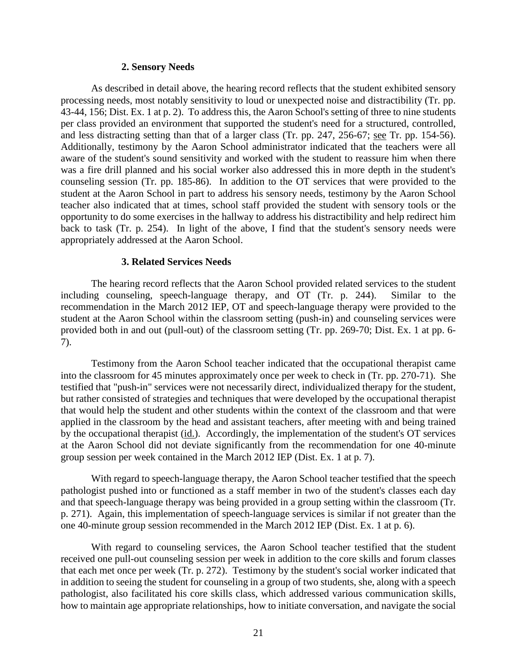#### **2. Sensory Needs**

As described in detail above, the hearing record reflects that the student exhibited sensory processing needs, most notably sensitivity to loud or unexpected noise and distractibility (Tr. pp. 43-44, 156; Dist. Ex. 1 at p. 2). To address this, the Aaron School's setting of three to nine students per class provided an environment that supported the student's need for a structured, controlled, and less distracting setting than that of a larger class (Tr. pp. 247, 256-67; see Tr. pp. 154-56). Additionally, testimony by the Aaron School administrator indicated that the teachers were all aware of the student's sound sensitivity and worked with the student to reassure him when there was a fire drill planned and his social worker also addressed this in more depth in the student's counseling session (Tr. pp. 185-86). In addition to the OT services that were provided to the student at the Aaron School in part to address his sensory needs, testimony by the Aaron School teacher also indicated that at times, school staff provided the student with sensory tools or the opportunity to do some exercises in the hallway to address his distractibility and help redirect him back to task (Tr. p. 254). In light of the above, I find that the student's sensory needs were appropriately addressed at the Aaron School.

#### **3. Related Services Needs**

The hearing record reflects that the Aaron School provided related services to the student including counseling, speech-language therapy, and OT (Tr. p. 244). Similar to the recommendation in the March 2012 IEP, OT and speech-language therapy were provided to the student at the Aaron School within the classroom setting (push-in) and counseling services were provided both in and out (pull-out) of the classroom setting (Tr. pp. 269-70; Dist. Ex. 1 at pp. 6- 7).

Testimony from the Aaron School teacher indicated that the occupational therapist came into the classroom for 45 minutes approximately once per week to check in (Tr. pp. 270-71). She testified that "push-in" services were not necessarily direct, individualized therapy for the student, but rather consisted of strategies and techniques that were developed by the occupational therapist that would help the student and other students within the context of the classroom and that were applied in the classroom by the head and assistant teachers, after meeting with and being trained by the occupational therapist (id.). Accordingly, the implementation of the student's OT services at the Aaron School did not deviate significantly from the recommendation for one 40-minute group session per week contained in the March 2012 IEP (Dist. Ex. 1 at p. 7).

With regard to speech-language therapy, the Aaron School teacher testified that the speech pathologist pushed into or functioned as a staff member in two of the student's classes each day and that speech-language therapy was being provided in a group setting within the classroom (Tr. p. 271). Again, this implementation of speech-language services is similar if not greater than the one 40-minute group session recommended in the March 2012 IEP (Dist. Ex. 1 at p. 6).

With regard to counseling services, the Aaron School teacher testified that the student received one pull-out counseling session per week in addition to the core skills and forum classes that each met once per week (Tr. p. 272). Testimony by the student's social worker indicated that in addition to seeing the student for counseling in a group of two students, she, along with a speech pathologist, also facilitated his core skills class, which addressed various communication skills, how to maintain age appropriate relationships, how to initiate conversation, and navigate the social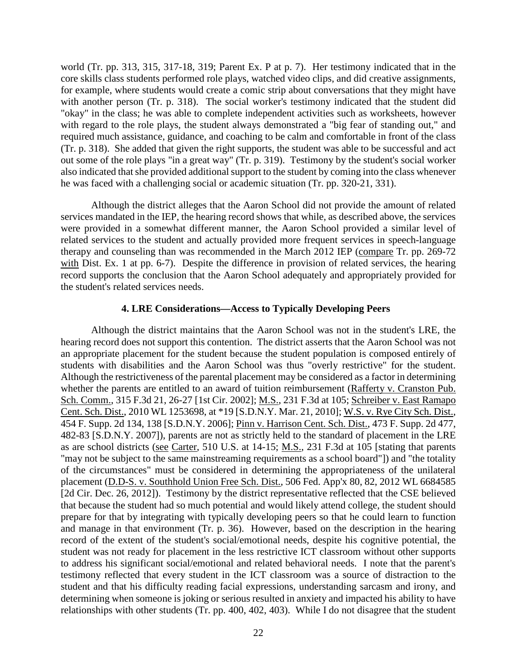world (Tr. pp. 313, 315, 317-18, 319; Parent Ex. P at p. 7). Her testimony indicated that in the core skills class students performed role plays, watched video clips, and did creative assignments, for example, where students would create a comic strip about conversations that they might have with another person (Tr. p. 318). The social worker's testimony indicated that the student did "okay" in the class; he was able to complete independent activities such as worksheets, however with regard to the role plays, the student always demonstrated a "big fear of standing out," and required much assistance, guidance, and coaching to be calm and comfortable in front of the class (Tr. p. 318). She added that given the right supports, the student was able to be successful and act out some of the role plays "in a great way" (Tr. p. 319). Testimony by the student's social worker also indicated that she provided additional support to the student by coming into the class whenever he was faced with a challenging social or academic situation (Tr. pp. 320-21, 331).

Although the district alleges that the Aaron School did not provide the amount of related services mandated in the IEP, the hearing record shows that while, as described above, the services were provided in a somewhat different manner, the Aaron School provided a similar level of related services to the student and actually provided more frequent services in speech-language therapy and counseling than was recommended in the March 2012 IEP (compare Tr. pp. 269-72 with Dist. Ex. 1 at pp. 6-7). Despite the difference in provision of related services, the hearing record supports the conclusion that the Aaron School adequately and appropriately provided for the student's related services needs.

#### **4. LRE Considerations—Access to Typically Developing Peers**

Although the district maintains that the Aaron School was not in the student's LRE, the hearing record does not support this contention. The district asserts that the Aaron School was not an appropriate placement for the student because the student population is composed entirely of students with disabilities and the Aaron School was thus "overly restrictive" for the student. Although the restrictiveness of the parental placement may be considered as a factor in determining whether the parents are entitled to an award of tuition reimbursement (Rafferty v. Cranston Pub. Sch. Comm., 315 F.3d 21, 26-27 [1st Cir. 2002]; M.S., 231 F.3d at 105; Schreiber v. East Ramapo Cent. Sch. Dist., 2010 WL 1253698, at \*19 [S.D.N.Y. Mar. 21, 2010]; W.S. v. Rye City Sch. Dist., 454 F. Supp. 2d 134, 138 [S.D.N.Y. 2006]; Pinn v. Harrison Cent. Sch. Dist., 473 F. Supp. 2d 477, 482-83 [S.D.N.Y. 2007]), parents are not as strictly held to the standard of placement in the LRE as are school districts (see Carter, 510 U.S. at 14-15; M.S., 231 F.3d at 105 [stating that parents "may not be subject to the same mainstreaming requirements as a school board"]) and "the totality of the circumstances" must be considered in determining the appropriateness of the unilateral placement (D.D-S. v. Southhold Union Free Sch. Dist., 506 Fed. App'x 80, 82, 2012 WL 6684585 [2d Cir. Dec. 26, 2012]). Testimony by the district representative reflected that the CSE believed that because the student had so much potential and would likely attend college, the student should prepare for that by integrating with typically developing peers so that he could learn to function and manage in that environment (Tr. p. 36). However, based on the description in the hearing record of the extent of the student's social/emotional needs, despite his cognitive potential, the student was not ready for placement in the less restrictive ICT classroom without other supports to address his significant social/emotional and related behavioral needs. I note that the parent's testimony reflected that every student in the ICT classroom was a source of distraction to the student and that his difficulty reading facial expressions, understanding sarcasm and irony, and determining when someone is joking or serious resulted in anxiety and impacted his ability to have relationships with other students (Tr. pp. 400, 402, 403). While I do not disagree that the student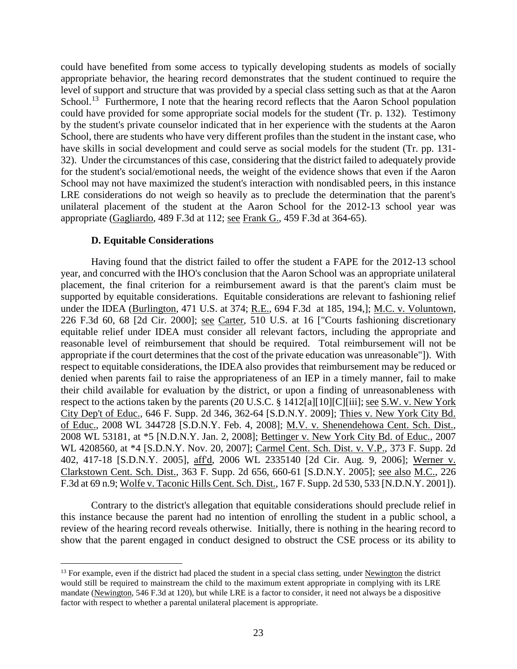could have benefited from some access to typically developing students as models of socially appropriate behavior, the hearing record demonstrates that the student continued to require the level of support and structure that was provided by a special class setting such as that at the Aaron School.<sup>13</sup> Furthermore, I note that the hearing record reflects that the Aaron School population could have provided for some appropriate social models for the student (Tr. p. 132). Testimony by the student's private counselor indicated that in her experience with the students at the Aaron School, there are students who have very different profiles than the student in the instant case, who have skills in social development and could serve as social models for the student (Tr. pp. 131- 32). Under the circumstances of this case, considering that the district failed to adequately provide for the student's social/emotional needs, the weight of the evidence shows that even if the Aaron School may not have maximized the student's interaction with nondisabled peers, in this instance LRE considerations do not weigh so heavily as to preclude the determination that the parent's unilateral placement of the student at the Aaron School for the 2012-13 school year was appropriate (Gagliardo, 489 F.3d at 112; see Frank G., 459 F.3d at 364-65).

## **D. Equitable Considerations**

Having found that the district failed to offer the student a FAPE for the 2012-13 school year, and concurred with the IHO's conclusion that the Aaron School was an appropriate unilateral placement, the final criterion for a reimbursement award is that the parent's claim must be supported by equitable considerations. Equitable considerations are relevant to fashioning relief under the IDEA (Burlington, 471 U.S. at 374; R.E., 694 F.3d at 185, 194,]; M.C. v. Voluntown, 226 F.3d 60, 68 [2d Cir. 2000]; see Carter, 510 U.S. at 16 ["Courts fashioning discretionary equitable relief under IDEA must consider all relevant factors, including the appropriate and reasonable level of reimbursement that should be required. Total reimbursement will not be appropriate if the court determines that the cost of the private education was unreasonable"]). With respect to equitable considerations, the IDEA also provides that reimbursement may be reduced or denied when parents fail to raise the appropriateness of an IEP in a timely manner, fail to make their child available for evaluation by the district, or upon a finding of unreasonableness with respect to the actions taken by the parents (20 U.S.C. § 1412[a][10][C][iii]; see S.W. v. New York City Dep't of Educ., 646 F. Supp. 2d 346, 362-64 [S.D.N.Y. 2009]; Thies v. New York City Bd. of Educ., 2008 WL 344728 [S.D.N.Y. Feb. 4, 2008]; M.V. v. Shenendehowa Cent. Sch. Dist., 2008 WL 53181, at \*5 [N.D.N.Y. Jan. 2, 2008]; Bettinger v. New York City Bd. of Educ., 2007 WL 4208560, at \*4 [S.D.N.Y. Nov. 20, 2007]; Carmel Cent. Sch. Dist. v. V.P., 373 F. Supp. 2d 402, 417-18 [S.D.N.Y. 2005], aff'd, 2006 WL 2335140 [2d Cir. Aug. 9, 2006]; Werner v. Clarkstown Cent. Sch. Dist., 363 F. Supp. 2d 656, 660-61 [S.D.N.Y. 2005]; see also M.C., 226 F.3d at 69 n.9; Wolfe v. Taconic Hills Cent. Sch. Dist., 167 F. Supp. 2d 530, 533 [N.D.N.Y. 2001]).

Contrary to the district's allegation that equitable considerations should preclude relief in this instance because the parent had no intention of enrolling the student in a public school, a review of the hearing record reveals otherwise. Initially, there is nothing in the hearing record to show that the parent engaged in conduct designed to obstruct the CSE process or its ability to

<sup>&</sup>lt;sup>13</sup> For example, even if the district had placed the student in a special class setting, under Newington the district would still be required to mainstream the child to the maximum extent appropriate in complying with its LRE mandate (Newington, 546 F.3d at 120), but while LRE is a factor to consider, it need not always be a dispositive factor with respect to whether a parental unilateral placement is appropriate.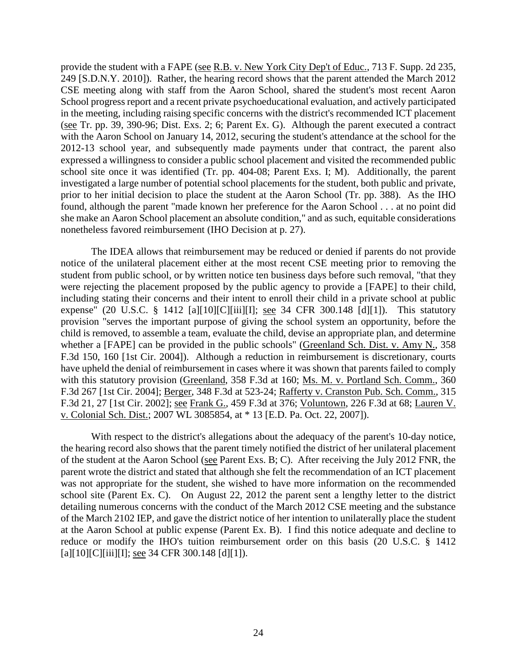provide the student with a FAPE (see R.B. v. New York City Dep't of Educ., 713 F. Supp. 2d 235, 249 [S.D.N.Y. 2010]). Rather, the hearing record shows that the parent attended the March 2012 CSE meeting along with staff from the Aaron School, shared the student's most recent Aaron School progress report and a recent private psychoeducational evaluation, and actively participated in the meeting, including raising specific concerns with the district's recommended ICT placement (see Tr. pp. 39, 390-96; Dist. Exs. 2; 6; Parent Ex. G). Although the parent executed a contract with the Aaron School on January 14, 2012, securing the student's attendance at the school for the 2012-13 school year, and subsequently made payments under that contract, the parent also expressed a willingness to consider a public school placement and visited the recommended public school site once it was identified (Tr. pp. 404-08; Parent Exs. I; M). Additionally, the parent investigated a large number of potential school placements for the student, both public and private, prior to her initial decision to place the student at the Aaron School (Tr. pp. 388). As the IHO found, although the parent "made known her preference for the Aaron School . . . at no point did she make an Aaron School placement an absolute condition," and as such, equitable considerations nonetheless favored reimbursement (IHO Decision at p. 27).

The IDEA allows that reimbursement may be reduced or denied if parents do not provide notice of the unilateral placement either at the most recent CSE meeting prior to removing the student from public school, or by written notice ten business days before such removal, "that they were rejecting the placement proposed by the public agency to provide a [FAPE] to their child, including stating their concerns and their intent to enroll their child in a private school at public expense" (20 U.S.C. § 1412 [a][10][C][iii][I]; <u>see</u> 34 CFR 300.148 [d][1]). This statutory provision "serves the important purpose of giving the school system an opportunity, before the child is removed, to assemble a team, evaluate the child, devise an appropriate plan, and determine whether a [FAPE] can be provided in the public schools" (Greenland Sch. Dist. v. Amy N., 358 F.3d 150, 160 [1st Cir. 2004]). Although a reduction in reimbursement is discretionary, courts have upheld the denial of reimbursement in cases where it was shown that parents failed to comply with this statutory provision (Greenland, 358 F.3d at 160; Ms. M. v. Portland Sch. Comm., 360 F.3d 267 [1st Cir. 2004]; Berger, 348 F.3d at 523-24; Rafferty v. Cranston Pub. Sch. Comm., 315 F.3d 21, 27 [1st Cir. 2002]; see Frank G., 459 F.3d at 376; Voluntown, 226 F.3d at 68; Lauren V. v. Colonial Sch. Dist.; 2007 WL 3085854, at \* 13 [E.D. Pa. Oct. 22, 2007]).

With respect to the district's allegations about the adequacy of the parent's 10-day notice, the hearing record also shows that the parent timely notified the district of her unilateral placement of the student at the Aaron School (see Parent Exs. B; C). After receiving the July 2012 FNR, the parent wrote the district and stated that although she felt the recommendation of an ICT placement was not appropriate for the student, she wished to have more information on the recommended school site (Parent Ex. C). On August 22, 2012 the parent sent a lengthy letter to the district detailing numerous concerns with the conduct of the March 2012 CSE meeting and the substance of the March 2102 IEP, and gave the district notice of her intention to unilaterally place the student at the Aaron School at public expense (Parent Ex. B). I find this notice adequate and decline to reduce or modify the IHO's tuition reimbursement order on this basis (20 U.S.C. § 1412  $[a][10][C][iii][I]$ ; see 34 CFR 300.148  $[d][1]$ ).